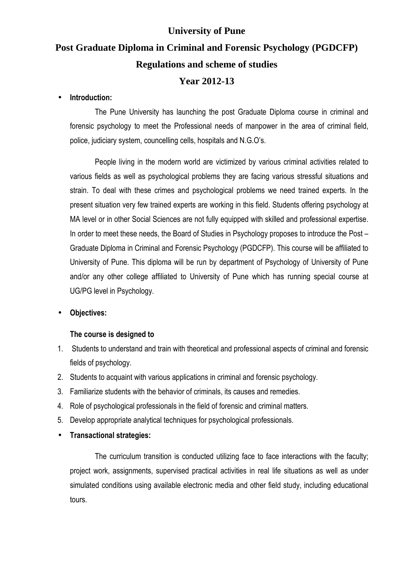### **University of Pune**

# **Post Graduate Diploma in Criminal and Forensic Psychology (PGDCFP) Regulations and scheme of studies**

### **Year 2012-13**

#### • **Introduction:**

The Pune University has launching the post Graduate Diploma course in criminal and forensic psychology to meet the Professional needs of manpower in the area of criminal field, police, judiciary system, councelling cells, hospitals and N.G.O's.

People living in the modern world are victimized by various criminal activities related to various fields as well as psychological problems they are facing various stressful situations and strain. To deal with these crimes and psychological problems we need trained experts. In the present situation very few trained experts are working in this field. Students offering psychology at MA level or in other Social Sciences are not fully equipped with skilled and professional expertise. In order to meet these needs, the Board of Studies in Psychology proposes to introduce the Post – Graduate Diploma in Criminal and Forensic Psychology (PGDCFP). This course will be affiliated to University of Pune. This diploma will be run by department of Psychology of University of Pune and/or any other college affiliated to University of Pune which has running special course at UG/PG level in Psychology.

#### • **Objectives:**

#### **The course is designed to**

- 1. Students to understand and train with theoretical and professional aspects of criminal and forensic fields of psychology.
- 2. Students to acquaint with various applications in criminal and forensic psychology.
- 3. Familiarize students with the behavior of criminals, its causes and remedies.
- 4. Role of psychological professionals in the field of forensic and criminal matters.
- 5. Develop appropriate analytical techniques for psychological professionals.
- **Transactional strategies:**

 The curriculum transition is conducted utilizing face to face interactions with the faculty; project work, assignments, supervised practical activities in real life situations as well as under simulated conditions using available electronic media and other field study, including educational tours.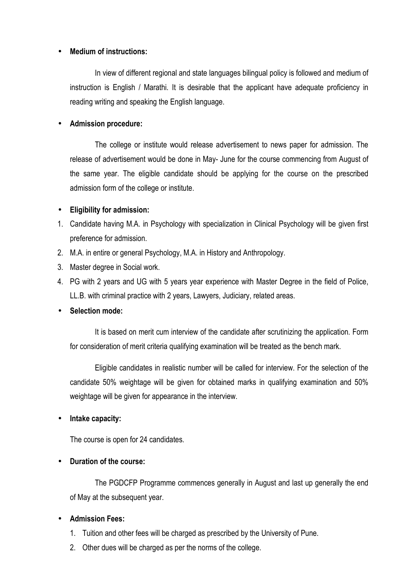#### • **Medium of instructions:**

 In view of different regional and state languages bilingual policy is followed and medium of instruction is English / Marathi. It is desirable that the applicant have adequate proficiency in reading writing and speaking the English language.

#### • **Admission procedure:**

 The college or institute would release advertisement to news paper for admission. The release of advertisement would be done in May- June for the course commencing from August of the same year. The eligible candidate should be applying for the course on the prescribed admission form of the college or institute.

#### • **Eligibility for admission:**

- 1. Candidate having M.A. in Psychology with specialization in Clinical Psychology will be given first preference for admission.
- 2. M.A. in entire or general Psychology, M.A. in History and Anthropology.
- 3. Master degree in Social work.
- 4. PG with 2 years and UG with 5 years year experience with Master Degree in the field of Police, LL.B. with criminal practice with 2 years, Lawyers, Judiciary, related areas.

### • **Selection mode:**

 It is based on merit cum interview of the candidate after scrutinizing the application. Form for consideration of merit criteria qualifying examination will be treated as the bench mark.

 Eligible candidates in realistic number will be called for interview. For the selection of the candidate 50% weightage will be given for obtained marks in qualifying examination and 50% weightage will be given for appearance in the interview.

### • **Intake capacity:**

The course is open for 24 candidates.

### • **Duration of the course:**

 The PGDCFP Programme commences generally in August and last up generally the end of May at the subsequent year.

### • **Admission Fees:**

- 1. Tuition and other fees will be charged as prescribed by the University of Pune.
- 2. Other dues will be charged as per the norms of the college.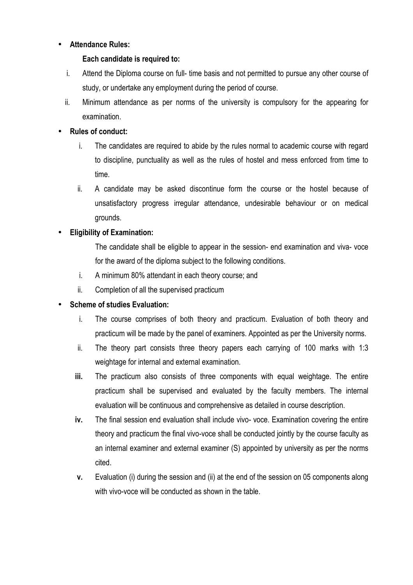#### • **Attendance Rules:**

#### **Each candidate is required to:**

- i. Attend the Diploma course on full- time basis and not permitted to pursue any other course of study, or undertake any employment during the period of course.
- ii. Minimum attendance as per norms of the university is compulsory for the appearing for examination.

#### • **Rules of conduct:**

- i. The candidates are required to abide by the rules normal to academic course with regard to discipline, punctuality as well as the rules of hostel and mess enforced from time to time.
- ii. A candidate may be asked discontinue form the course or the hostel because of unsatisfactory progress irregular attendance, undesirable behaviour or on medical grounds.

### • **Eligibility of Examination:**

The candidate shall be eligible to appear in the session- end examination and viva- voce for the award of the diploma subject to the following conditions.

- i. A minimum 80% attendant in each theory course; and
- ii. Completion of all the supervised practicum

#### • **Scheme of studies Evaluation:**

- i. The course comprises of both theory and practicum. Evaluation of both theory and practicum will be made by the panel of examiners. Appointed as per the University norms.
- ii. The theory part consists three theory papers each carrying of 100 marks with 1:3 weightage for internal and external examination.
- **iii.** The practicum also consists of three components with equal weightage. The entire practicum shall be supervised and evaluated by the faculty members. The internal evaluation will be continuous and comprehensive as detailed in course description.
- **iv.** The final session end evaluation shall include vivo- voce. Examination covering the entire theory and practicum the final vivo-voce shall be conducted jointly by the course faculty as an internal examiner and external examiner (S) appointed by university as per the norms cited.
- **v.** Evaluation (i) during the session and (ii) at the end of the session on 05 components along with vivo-voce will be conducted as shown in the table.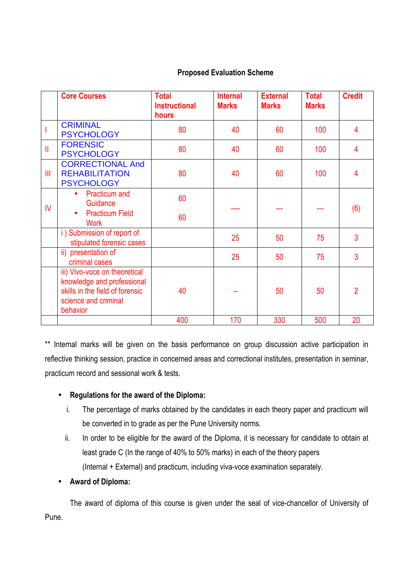#### **Proposed Evaluation Scheme**

|                         | <b>Core Courses</b>                                                                                                                | <b>Total</b><br><b>Instructional</b><br>hours | <b>Internal</b><br><b>Marks</b> | <b>External</b><br><b>Marks</b> | <b>Total</b><br><b>Marks</b> | <b>Credit</b>  |
|-------------------------|------------------------------------------------------------------------------------------------------------------------------------|-----------------------------------------------|---------------------------------|---------------------------------|------------------------------|----------------|
|                         | <b>CRIMINAL</b><br><b>PSYCHOLOGY</b>                                                                                               | 80                                            | 40                              | 60                              | 100                          | $\overline{4}$ |
| $\mathbf{I}$            | <b>FORENSIC</b><br><b>PSYCHOLOGY</b>                                                                                               | 80                                            | 40                              | 60                              | 100                          | $\overline{4}$ |
| III                     | <b>CORRECTIONAL And</b><br><b>REHABILITATION</b><br><b>PSYCHOLOGY</b>                                                              | 80                                            | 40                              | 60                              | 100                          | 4              |
| $\mathsf{I} \mathsf{V}$ | <b>Practicum</b> and<br>$\bullet$<br>Guidance<br><b>Practicum Field</b><br><b>Work</b>                                             | 60<br>60                                      |                                 |                                 |                              | (6)            |
|                         | i) Submission of report of<br>stipulated forensic cases                                                                            |                                               | 25                              | 50                              | 75                           | 3              |
|                         | ii) presentation of<br>criminal cases                                                                                              |                                               | 25                              | 50                              | 75                           | 3              |
|                         | iii) Vivo-voce on theoretical<br>knowledge and professional<br>skills in the field of forensic<br>science and criminal<br>behavior | 40                                            |                                 | 50                              | 50                           | $\overline{2}$ |
|                         |                                                                                                                                    | 400                                           | 170                             | 330                             | 500                          | 20             |

\*\* Internal marks will be given on the basis performance on group discussion active participation in reflective thinking session, practice in concerned areas and correctional institutes, presentation in seminar, practicum record and sessional work & tests.

### • **Regulations for the award of the Diploma:**

- i. The percentage of marks obtained by the candidates in each theory paper and practicum will be converted in to grade as per the Pune University norms.
- ii. In order to be eligible for the award of the Diploma, it is necessary for candidate to obtain at least grade C (In the range of 40% to 50% marks) in each of the theory papers (Internal + External) and practicum, including viva-voce examination separately.

### • **Award of Diploma:**

 The award of diploma of this course is given under the seal of vice-chancellor of University of Pune.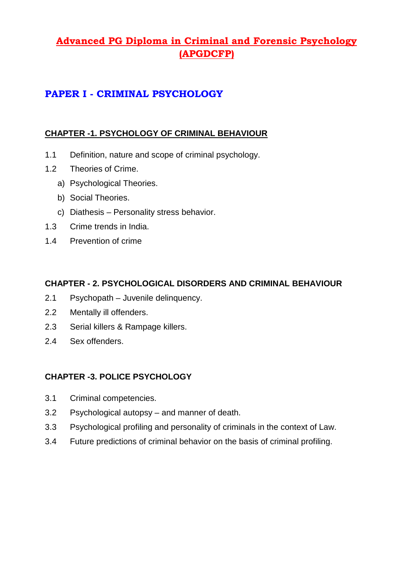# **Advanced PG Diploma in Criminal and Forensic Psychology (APGDCFP)**

# **PAPER I - CRIMINAL PSYCHOLOGY**

#### **CHAPTER -1. PSYCHOLOGY OF CRIMINAL BEHAVIOUR**

- 1.1 Definition, nature and scope of criminal psychology.
- 1.2 Theories of Crime.
	- a) Psychological Theories.
	- b) Social Theories.
	- c) Diathesis Personality stress behavior.
- 1.3 Crime trends in India.
- 1.4 Prevention of crime

#### **CHAPTER - 2. PSYCHOLOGICAL DISORDERS AND CRIMINAL BEHAVIOUR**

- 2.1 Psychopath Juvenile delinquency.
- 2.2 Mentally ill offenders.
- 2.3 Serial killers & Rampage killers.
- 2.4 Sex offenders.

### **CHAPTER -3. POLICE PSYCHOLOGY**

- 3.1 Criminal competencies.
- 3.2 Psychological autopsy and manner of death.
- 3.3 Psychological profiling and personality of criminals in the context of Law.
- 3.4 Future predictions of criminal behavior on the basis of criminal profiling.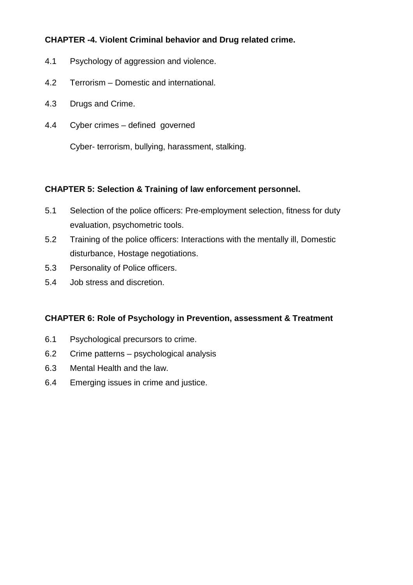## **CHAPTER -4. Violent Criminal behavior and Drug related crime.**

- 4.1 Psychology of aggression and violence.
- 4.2 Terrorism Domestic and international.
- 4.3 Drugs and Crime.
- 4.4 Cyber crimes defined governed

Cyber- terrorism, bullying, harassment, stalking.

#### **CHAPTER 5: Selection & Training of law enforcement personnel.**

- 5.1 Selection of the police officers: Pre-employment selection, fitness for duty evaluation, psychometric tools.
- 5.2 Training of the police officers: Interactions with the mentally ill, Domestic disturbance, Hostage negotiations.
- 5.3 Personality of Police officers.
- 5.4 Job stress and discretion.

### **CHAPTER 6: Role of Psychology in Prevention, assessment & Treatment**

- 6.1 Psychological precursors to crime.
- 6.2 Crime patterns psychological analysis
- 6.3 Mental Health and the law.
- 6.4 Emerging issues in crime and justice.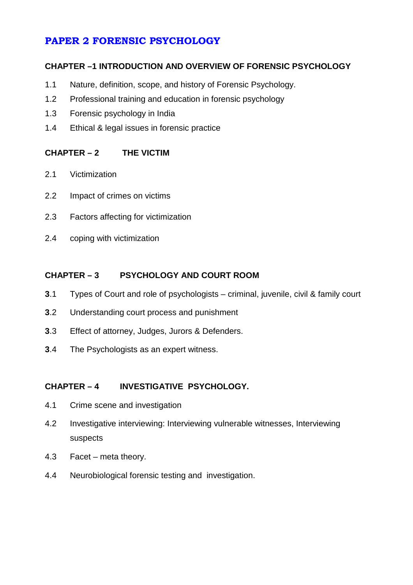# **PAPER 2 FORENSIC PSYCHOLOGY**

### **CHAPTER –1 INTRODUCTION AND OVERVIEW OF FORENSIC PSYCHOLOGY**

- 1.1 Nature, definition, scope, and history of Forensic Psychology.
- 1.2 Professional training and education in forensic psychology
- 1.3 Forensic psychology in India
- 1.4 Ethical & legal issues in forensic practice

### **CHAPTER – 2 THE VICTIM**

- 2.1 Victimization
- 2.2 Impact of crimes on victims
- 2.3 Factors affecting for victimization
- 2.4 coping with victimization

### **CHAPTER – 3 PSYCHOLOGY AND COURT ROOM**

- **3**.1 Types of Court and role of psychologists criminal, juvenile, civil & family court
- **3**.2 Understanding court process and punishment
- **3**.3 Effect of attorney, Judges, Jurors & Defenders.
- **3**.4 The Psychologists as an expert witness.

## **CHAPTER – 4 INVESTIGATIVE PSYCHOLOGY.**

- 4.1 Crime scene and investigation
- 4.2 Investigative interviewing: Interviewing vulnerable witnesses, Interviewing suspects
- 4.3 Facet meta theory.
- 4.4 Neurobiological forensic testing and investigation.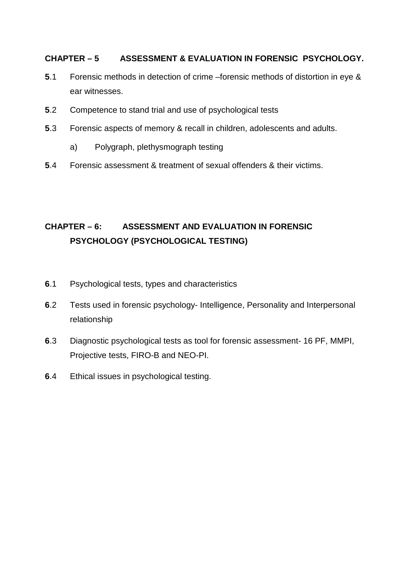## **CHAPTER – 5 ASSESSMENT & EVALUATION IN FORENSIC PSYCHOLOGY.**

- **5**.1 Forensic methods in detection of crime –forensic methods of distortion in eye & ear witnesses.
- **5**.2 Competence to stand trial and use of psychological tests
- **5**.3 Forensic aspects of memory & recall in children, adolescents and adults.
	- a) Polygraph, plethysmograph testing
- **5**.4 Forensic assessment & treatment of sexual offenders & their victims.

# **CHAPTER – 6: ASSESSMENT AND EVALUATION IN FORENSIC PSYCHOLOGY (PSYCHOLOGICAL TESTING)**

- **6**.1 Psychological tests, types and characteristics
- **6**.2 Tests used in forensic psychology- Intelligence, Personality and Interpersonal relationship
- **6**.3 Diagnostic psychological tests as tool for forensic assessment- 16 PF, MMPI, Projective tests, FIRO-B and NEO-PI.
- **6**.4 Ethical issues in psychological testing.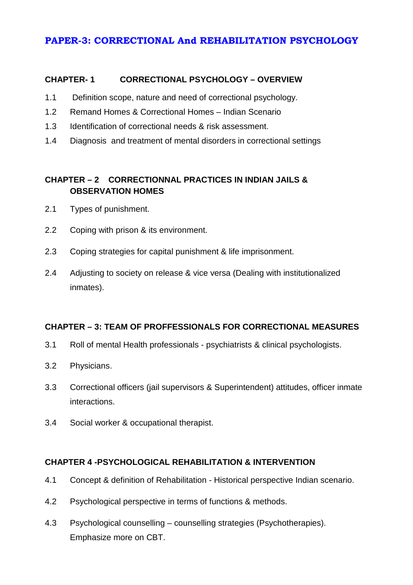## **PAPER-3: CORRECTIONAL And REHABILITATION PSYCHOLOGY**

#### **CHAPTER- 1 CORRECTIONAL PSYCHOLOGY – OVERVIEW**

- 1.1 Definition scope, nature and need of correctional psychology.
- 1.2 Remand Homes & Correctional Homes Indian Scenario
- 1.3 Identification of correctional needs & risk assessment.
- 1.4 Diagnosis and treatment of mental disorders in correctional settings

## **CHAPTER – 2 CORRECTIONNAL PRACTICES IN INDIAN JAILS & OBSERVATION HOMES**

- 2.1 Types of punishment.
- 2.2 Coping with prison & its environment.
- 2.3 Coping strategies for capital punishment & life imprisonment.
- 2.4 Adjusting to society on release & vice versa (Dealing with institutionalized inmates).

### **CHAPTER – 3: TEAM OF PROFFESSIONALS FOR CORRECTIONAL MEASURES**

- 3.1 Roll of mental Health professionals psychiatrists & clinical psychologists.
- 3.2 Physicians.
- 3.3 Correctional officers (jail supervisors & Superintendent) attitudes, officer inmate interactions.
- 3.4 Social worker & occupational therapist.

### **CHAPTER 4 -PSYCHOLOGICAL REHABILITATION & INTERVENTION**

- 4.1 Concept & definition of Rehabilitation Historical perspective Indian scenario.
- 4.2 Psychological perspective in terms of functions & methods.
- 4.3 Psychological counselling counselling strategies (Psychotherapies). Emphasize more on CBT.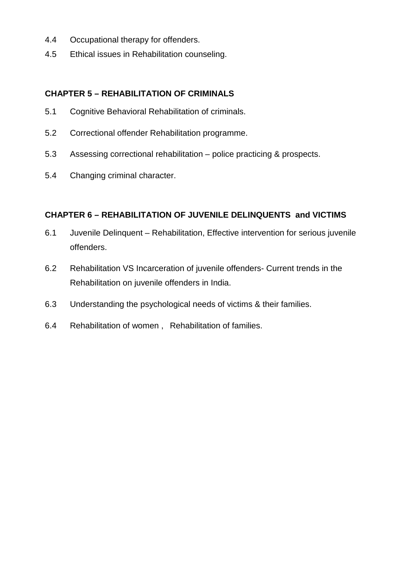- 4.4 Occupational therapy for offenders.
- 4.5 Ethical issues in Rehabilitation counseling.

### **CHAPTER 5 – REHABILITATION OF CRIMINALS**

- 5.1 Cognitive Behavioral Rehabilitation of criminals.
- 5.2 Correctional offender Rehabilitation programme.
- 5.3 Assessing correctional rehabilitation police practicing & prospects.
- 5.4 Changing criminal character.

### **CHAPTER 6 – REHABILITATION OF JUVENILE DELINQUENTS and VICTIMS**

- 6.1 Juvenile Delinquent Rehabilitation, Effective intervention for serious juvenile offenders.
- 6.2 Rehabilitation VS Incarceration of juvenile offenders- Current trends in the Rehabilitation on juvenile offenders in India.
- 6.3 Understanding the psychological needs of victims & their families.
- 6.4 Rehabilitation of women , Rehabilitation of families.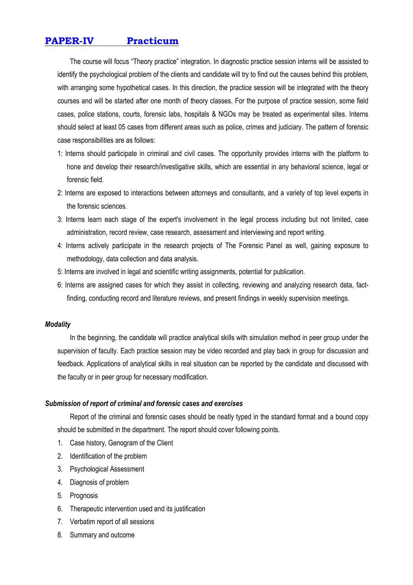# **PAPER-IV Practicum**

 The course will focus "Theory practice" integration. In diagnostic practice session interns will be assisted to identify the psychological problem of the clients and candidate will try to find out the causes behind this problem, with arranging some hypothetical cases. In this direction, the practice session will be integrated with the theory courses and will be started after one month of theory classes. For the purpose of practice session, some field cases, police stations, courts, forensic labs, hospitals & NGOs may be treated as experimental sites. Interns should select at least 05 cases from different areas such as police, crimes and judiciary. The pattern of forensic case responsibilities are as follows:

- 1: Interns should participate in criminal and civil cases. The opportunity provides interns with the platform to hone and develop their research/investigative skills, which are essential in any behavioral science, legal or forensic field.
- 2: Interns are exposed to interactions between attorneys and consultants, and a variety of top level experts in the forensic sciences.
- 3: Interns learn each stage of the expert's involvement in the legal process including but not limited, case administration, record review, case research, assessment and interviewing and report writing.
- 4: Interns actively participate in the research projects of The Forensic Panel as well, gaining exposure to methodology, data collection and data analysis.
- 5: Interns are involved in legal and scientific writing assignments, potential for publication.
- 6: Interns are assigned cases for which they assist in collecting, reviewing and analyzing research data, factfinding, conducting record and literature reviews, and present findings in weekly supervision meetings.

#### *Modality*

In the beginning, the candidate will practice analytical skills with simulation method in peer group under the supervision of faculty. Each practice session may be video recorded and play back in group for discussion and feedback. Applications of analytical skills in real situation can be reported by the candidate and discussed with the faculty or in peer group for necessary modification.

#### *Submission of report of criminal and forensic cases and exercises*

 Report of the criminal and forensic cases should be neatly typed in the standard format and a bound copy should be submitted in the department. The report should cover following points.

- 1. Case history, Genogram of the Client
- 2. Identification of the problem
- 3. Psychological Assessment
- 4. Diagnosis of problem
- 5. Prognosis
- 6. Therapeutic intervention used and its justification
- 7. Verbatim report of all sessions
- 8. Summary and outcome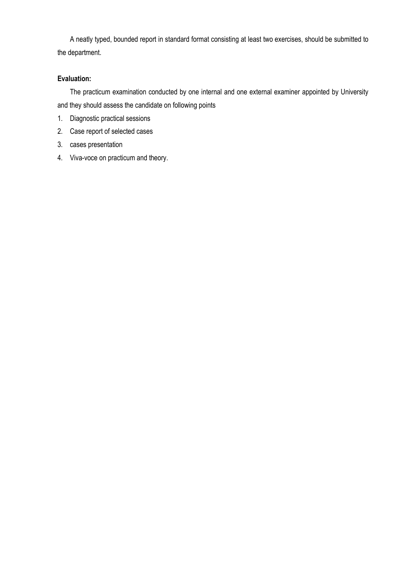A neatly typed, bounded report in standard format consisting at least two exercises, should be submitted to the department.

#### **Evaluation:**

The practicum examination conducted by one internal and one external examiner appointed by University and they should assess the candidate on following points

- 1. Diagnostic practical sessions
- 2. Case report of selected cases
- 3. cases presentation
- 4. Viva-voce on practicum and theory.